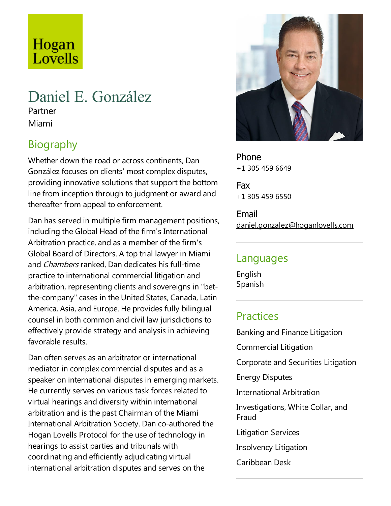# Hogan Lovells

# Daniel E. González

Partner Miami

# **Biography**

Whether down the road or across continents, Dan González focuses on clients' most complex disputes, providing innovative solutions that support the bottom line from inception through to judgment or award and thereafter from appeal to enforcement.

Dan has served in multiple firm management positions, including the Global Head of the firm's International Arbitration practice, and as a member of the firm's Global Board of Directors. A top trial lawyer in Miami and Chambers ranked, Dan dedicates his full-time practice to international commercial litigation and arbitration, representing clients and sovereigns in "betthe-company" cases in the United States, Canada, Latin America, Asia, and Europe. He provides fully bilingual counsel in both common and civil law jurisdictions to effectively provide strategy and analysis in achieving favorable results.

Dan often serves as an arbitrator or international mediator in complex commercial disputes and as a speaker on international disputes in emerging markets. He currently serves on various task forces related to virtual hearings and diversity within international arbitration and is the past Chairman of the Miami International Arbitration Society. Dan co-authored the Hogan Lovells Protocol for the use of technology in hearings to assist parties and tribunals with coordinating and efficiently adjudicating virtual international arbitration disputes and serves on the



Phone +1 305 459 6649

Fax +1 305 459 6550

Email daniel.gonzalez@hoganlovells.com

#### Languages

English Spanish

## **Practices**

Banking and Finance Litigation Commercial Litigation Corporate and Securities Litigation Energy Disputes International Arbitration Investigations, White Collar, and Fraud Litigation Services Insolvency Litigation Caribbean Desk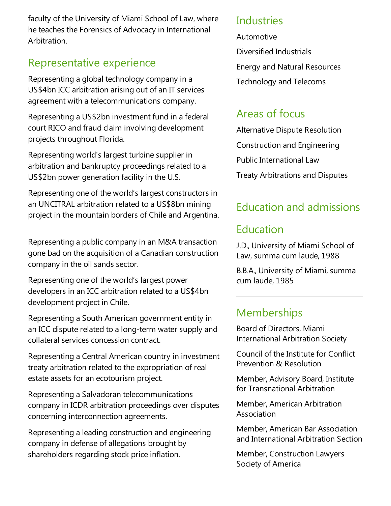faculty of the University of Miami School of Law, where he teaches the Forensics of Advocacy in International Arbitration.

## Representative experience

Representing a global technology company in a US\$4bn ICC arbitration arising out of an IT services agreement with a telecommunications company.

Representing a US\$2bn investment fund in afederal court RICO and fraud claim involving development projects throughout Florida.

Representing world's largest turbine supplier in arbitration and bankruptcy proceedings related to a US\$2bn power generation facility in the U.S.

Representing one of the world's largest constructors in an UNCITRAL arbitration related to a US\$8bn mining project in the mountain borders of Chile and Argentina.

Representing a public company in an M&A transaction gone bad on the acquisition of a Canadian construction company in the oil sands sector.

Representing one of the world's largest power developers in an ICC arbitration related to a US\$4bn development project in Chile.

Representing a South American government entity in an ICC dispute related to a long-term water supply and collateral services concession contract.

Representing a Central American country in investment treaty arbitration related to the expropriation of real estate assets for an ecotourism project.

Representing a Salvadoran telecommunications company in ICDR arbitration proceedings over disputes concerning interconnection agreements.

Representing aleading construction and engineering company in defense of allegations brought by shareholders regarding stock price inflation.

#### **Industries**

Automotive

Diversified Industrials

Energy and Natural Resources

Technology and Telecoms

### Areas of focus

Alternative Dispute Resolution Construction and Engineering Public International Law Treaty Arbitrations and Disputes

## Education and admissions

### Education

J.D., University of Miami School of Law, summa cum laude, 1988

B.B.A., University of Miami, summa cum laude, 1985

## **Memberships**

Board of Directors, Miami International Arbitration Society

Council of the Institute for Conflict Prevention & Resolution

Member, Advisory Board, Institute for Transnational Arbitration

Member, American Arbitration Association

Member, American Bar Association and International Arbitration Section

Member, Construction Lawyers Society of America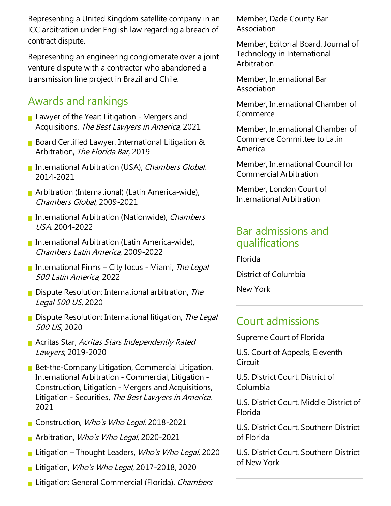Representing a United Kingdom satellite company in an ICC arbitration under English law regarding a breach of contract dispute.

Representing an engineering conglomerate over a joint venture dispute with a contractor who abandoned a transmission line project in Brazil and Chile.

## Awards and rankings

- **Lawyer of the Year: Litigation Mergers and** Acquisitions, The Best Lawyers in America, 2021
- **Board Certified Lawyer, International Litigation &** Arbitration, The Florida Bar, 2019
- International Arbitration (USA), Chambers Global, 2014-2021
- **Arbitration (International) (Latin America-wide),** Chambers Global, 2009-2021
- **International Arbitration (Nationwide), Chambers** USA, 2004-2022
- International Arbitration (Latin America-wide), Chambers Latin America, 2009-2022
- International Firms City focus Miami, The Legal <sup>500</sup> Latin America, 2022
- $\blacksquare$  Dispute Resolution: International arbitration, The Legal <sup>500</sup> US, 2020
- Dispute Resolution: International litigation, The Legal <sup>500</sup> US, 2020
- **Acritas Star, Acritas Stars Independently Rated** Lawyers, 2019-2020
- **Bet-the-Company Litigation, Commercial Litigation,** International Arbitration - Commercial, Litigation -Construction, Litigation - Mergers and Acquisitions, Litigation - Securities, The Best Lawyers in America, 2021
- Construction, Who's Who Legal, 2018-2021
- Arbitration, Who's Who Legal, 2020-2021
- Litigation Thought Leaders, *Who's Who Legal*, 2020
- Litigation, Who's Who Legal, 2017-2018, 2020
- **Litigation: General Commercial (Florida), Chambers**

Member, Dade County Bar Association

Member, Editorial Board, Journal of Technology in International **Arbitration** 

Member, International Bar Association

Member, International Chamber of Commerce

Member, International Chamber of Commerce Committee to Latin America

Member, International Council for Commercial Arbitration

Member, London Court of International Arbitration

#### Bar admissions and qualifications

Florida District of Columbia New York

#### Court admissions

Supreme Court of Florida

U.S. Court of Appeals, Eleventh **Circuit** 

U.S. District Court, District of Columbia

U.S. District Court, Middle District of Florida

U.S. District Court, Southern District of Florida

U.S. District Court, Southern District of New York